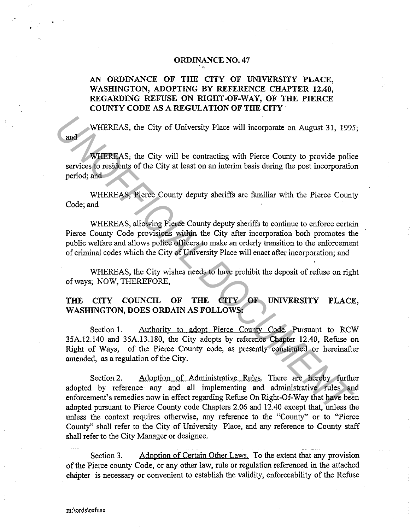## ORDINANCE NO. 47

## AN ORDINANCE OF THE CITY OF UNIVERSITY PLACE, WASHINGTON, ADOPTING BY REFERENCE CHAPTER 12.40, REGARDING REFUSE ON RIGHT-OF-WAY, OF THE PIERCE COUNTY CODE AS A REGULATION OF THE CITY

WHEREAS, the City of University Place will incorporate on August 31, 1995;

WHEREAS; the City will be contracting with Pierce County to provide police services to residents of the City at least on an interim basis during the post incorporation period; and

WHEREAS, Pierce County deputy sheriffs are familiar with the Pierce County Code; and

WHEREAS, allowing Pierce County deputy sheriffs to continue to enforce certain Pierce County Code provisions within the City after incorporation both promotes the public welfare and allows police officers to make an orderly transition to the enforcement of criminal codes which the City of University Place will enact after incorporation; and

WHEREAS, the City wishes needs to have prohibit the deposit of refuse on right of ways; NOW, THEREFORE,

# THE CITY COUNCIL OF THE CITY OF UNIVERSITY PLACE, WASHINGTON, DOES ORDAIN AS FOLLOWS:

Section 1. Authority to adopt Pierce County Code. Pursuant to RCW 35A.12.140 and 35A.13.180, the City adopts by reference Chapter 12.40, Refuse on Right of Ways, of the Pierce County code, as presently constituted or hereinafter amended, as a regulation of the City.

Section 2. Adoption of Administrative Rules. There are hereby further adopted by reference any and all implementing and administrative rules and enforcement's remedies now in effect regarding Refuse On Right-Of-Way that have been adopted pursuant to Pierce County code Chapters 2.06 and 12.40 except that, unless the unless the context requires otherwise, any reference to the "County" or to "Pierce County" shall refer to the City of University Place, and any reference to County staff shall refer to the City Manager or designee. **EXERCAS, the City of University Place will incorporate on August 31, 1995**<br> **EXERCAS, the City will be contracting with Pierce County to provide policies<br>
previoes to residents of the City at least on an interim basis dur** 

Section 3. Adoption of Certain Other Laws. To the extent that any provision of the Pierce county Code, or any other law, rule or regulation referenced in the attached chapter is necessary or convenient to establish the validity, enforceability of the Refuse

'

and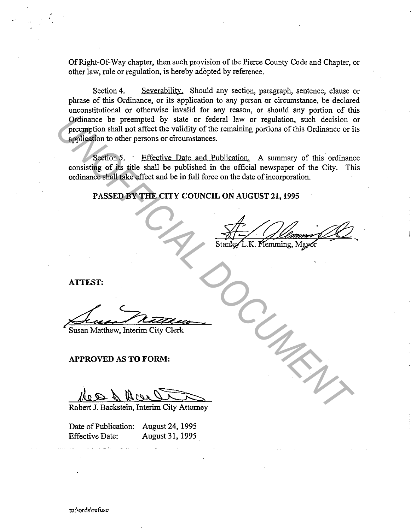Of Right-Of-Way chapter, then such provision of the Pierce County Code and Chapter, or other law, rule or regulation, is hereby adopted by reference. ·

Section 4. Severability. Should any section, paragraph, sentence, clause or phrase of this Ordinance, or its application to any person or circumstance, be declared unconstitutional or otherwise invalid for any reason, or should any portion of this Ordinance be preempted by state or federal law or regulation, such decision or preemption shall not affect the validity of the remaining portions of this Ordinance or its application to other persons or circumstances. Premption shall not affect the validity of the remaining portions, such decision of merchand not affect the validity of the remaining portions of this Ordinance or implication. Such that the validity of the content of the

Section 5. • Effective Date and Publication. A summary of this ordinance consisting of its title shall be published in the official newspaper of the City. This ordinance shall take effect and be in full force on the date of incorporation.

**PASSED BY THE CITY COUNCIL ON AUGUST 21, 1995** 

**ATTEST:** 

Susan Matthew, Interim City Clerk

### **APPROVED AS TO FORM:**

**Ales & Resservement City Attorney** 

Date of Publication: August 24, 1995 Effective Date: August 31, 1995